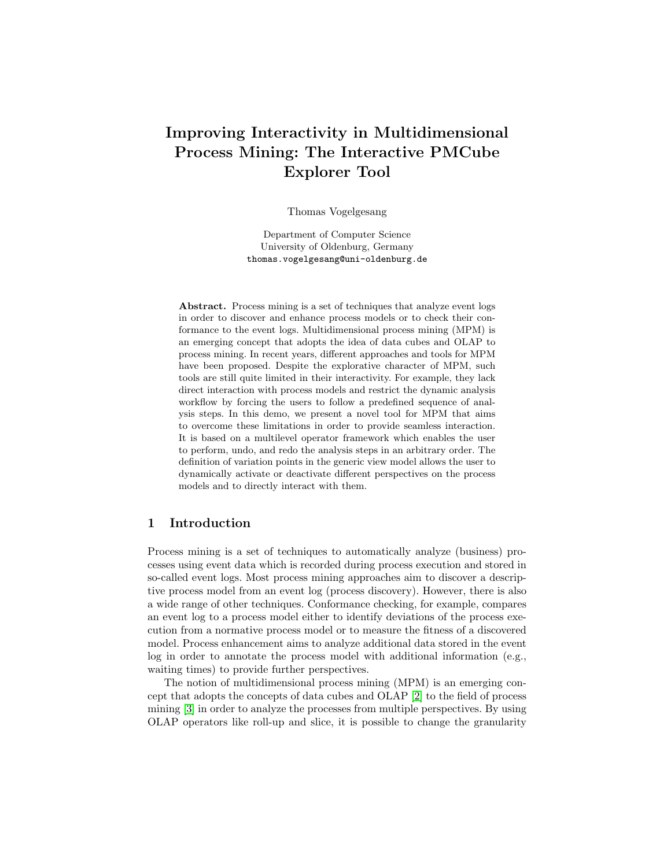# Improving Interactivity in Multidimensional Process Mining: The Interactive PMCube Explorer Tool

Thomas Vogelgesang

Department of Computer Science University of Oldenburg, Germany thomas.vogelgesang@uni-oldenburg.de

Abstract. Process mining is a set of techniques that analyze event logs in order to discover and enhance process models or to check their conformance to the event logs. Multidimensional process mining (MPM) is an emerging concept that adopts the idea of data cubes and OLAP to process mining. In recent years, different approaches and tools for MPM have been proposed. Despite the explorative character of MPM, such tools are still quite limited in their interactivity. For example, they lack direct interaction with process models and restrict the dynamic analysis workflow by forcing the users to follow a predefined sequence of analysis steps. In this demo, we present a novel tool for MPM that aims to overcome these limitations in order to provide seamless interaction. It is based on a multilevel operator framework which enables the user to perform, undo, and redo the analysis steps in an arbitrary order. The definition of variation points in the generic view model allows the user to dynamically activate or deactivate different perspectives on the process models and to directly interact with them.

## 1 Introduction

Process mining is a set of techniques to automatically analyze (business) processes using event data which is recorded during process execution and stored in so-called event logs. Most process mining approaches aim to discover a descriptive process model from an event log (process discovery). However, there is also a wide range of other techniques. Conformance checking, for example, compares an event log to a process model either to identify deviations of the process execution from a normative process model or to measure the fitness of a discovered model. Process enhancement aims to analyze additional data stored in the event log in order to annotate the process model with additional information (e.g., waiting times) to provide further perspectives.

The notion of multidimensional process mining (MPM) is an emerging concept that adopts the concepts of data cubes and OLAP [\[2\]](#page-4-0) to the field of process mining [\[3\]](#page-4-1) in order to analyze the processes from multiple perspectives. By using OLAP operators like roll-up and slice, it is possible to change the granularity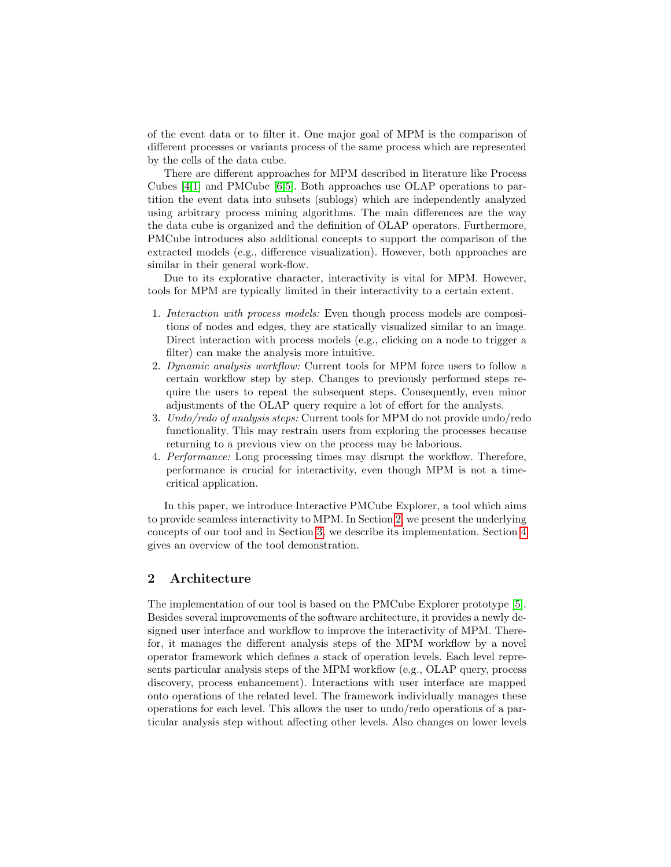of the event data or to filter it. One major goal of MPM is the comparison of different processes or variants process of the same process which are represented by the cells of the data cube.

There are different approaches for MPM described in literature like Process Cubes [\[4](#page-4-2)[,1\]](#page-4-3) and PMCube [\[6,](#page-4-4)[5\]](#page-4-5). Both approaches use OLAP operations to partition the event data into subsets (sublogs) which are independently analyzed using arbitrary process mining algorithms. The main differences are the way the data cube is organized and the definition of OLAP operators. Furthermore, PMCube introduces also additional concepts to support the comparison of the extracted models (e.g., difference visualization). However, both approaches are similar in their general work-flow.

Due to its explorative character, interactivity is vital for MPM. However, tools for MPM are typically limited in their interactivity to a certain extent.

- 1. Interaction with process models: Even though process models are compositions of nodes and edges, they are statically visualized similar to an image. Direct interaction with process models (e.g., clicking on a node to trigger a filter) can make the analysis more intuitive.
- 2. Dynamic analysis workflow: Current tools for MPM force users to follow a certain workflow step by step. Changes to previously performed steps require the users to repeat the subsequent steps. Consequently, even minor adjustments of the OLAP query require a lot of effort for the analysts.
- 3. Undo/redo of analysis steps: Current tools for MPM do not provide undo/redo functionality. This may restrain users from exploring the processes because returning to a previous view on the process may be laborious.
- 4. Performance: Long processing times may disrupt the workflow. Therefore, performance is crucial for interactivity, even though MPM is not a timecritical application.

In this paper, we introduce Interactive PMCube Explorer, a tool which aims to provide seamless interactivity to MPM. In Section [2,](#page-1-0) we present the underlying concepts of our tool and in Section [3,](#page-2-0) we describe its implementation. Section [4](#page-4-6) gives an overview of the tool demonstration.

# <span id="page-1-0"></span>2 Architecture

The implementation of our tool is based on the PMCube Explorer prototype [\[5\]](#page-4-5). Besides several improvements of the software architecture, it provides a newly designed user interface and workflow to improve the interactivity of MPM. Therefor, it manages the different analysis steps of the MPM workflow by a novel operator framework which defines a stack of operation levels. Each level represents particular analysis steps of the MPM workflow (e.g., OLAP query, process discovery, process enhancement). Interactions with user interface are mapped onto operations of the related level. The framework individually manages these operations for each level. This allows the user to undo/redo operations of a particular analysis step without affecting other levels. Also changes on lower levels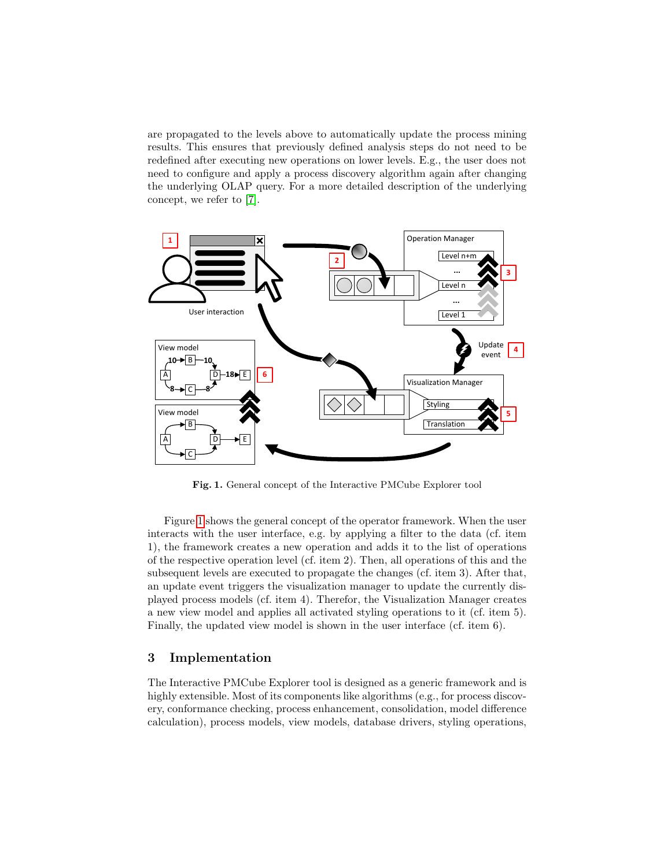are propagated to the levels above to automatically update the process mining results. This ensures that previously defined analysis steps do not need to be redefined after executing new operations on lower levels. E.g., the user does not need to configure and apply a process discovery algorithm again after changing the underlying OLAP query. For a more detailed description of the underlying concept, we refer to [\[7\]](#page-4-7).



<span id="page-2-1"></span>Fig. 1. General concept of the Interactive PMCube Explorer tool

Figure [1](#page-2-1) shows the general concept of the operator framework. When the user interacts with the user interface, e.g. by applying a filter to the data (cf. item 1), the framework creates a new operation and adds it to the list of operations of the respective operation level (cf. item 2). Then, all operations of this and the subsequent levels are executed to propagate the changes (cf. item 3). After that, an update event triggers the visualization manager to update the currently displayed process models (cf. item 4). Therefor, the Visualization Manager creates a new view model and applies all activated styling operations to it (cf. item 5). Finally, the updated view model is shown in the user interface (cf. item 6).

## <span id="page-2-0"></span>3 Implementation

The Interactive PMCube Explorer tool is designed as a generic framework and is highly extensible. Most of its components like algorithms (e.g., for process discovery, conformance checking, process enhancement, consolidation, model difference calculation), process models, view models, database drivers, styling operations,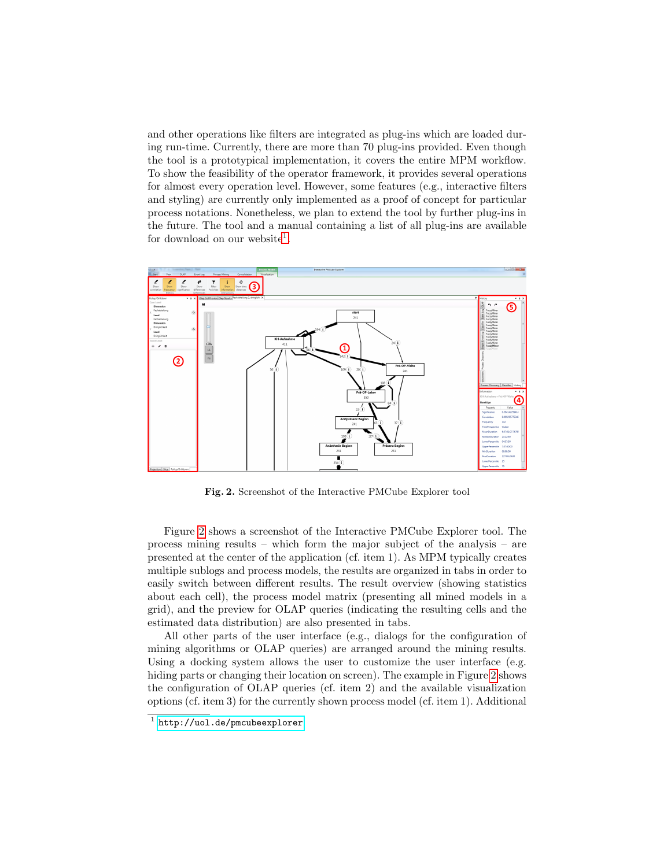and other operations like filters are integrated as plug-ins which are loaded during run-time. Currently, there are more than 70 plug-ins provided. Even though the tool is a prototypical implementation, it covers the entire MPM workflow. To show the feasibility of the operator framework, it provides several operations for almost every operation level. However, some features (e.g., interactive filters and styling) are currently only implemented as a proof of concept for particular process notations. Nonetheless, we plan to extend the tool by further plug-ins in the future. The tool and a manual containing a list of all plug-ins are available for download on our website<sup>[1](#page-3-0)</sup>.



<span id="page-3-1"></span>Fig. 2. Screenshot of the Interactive PMCube Explorer tool

Figure [2](#page-3-1) shows a screenshot of the Interactive PMCube Explorer tool. The process mining results – which form the major subject of the analysis – are presented at the center of the application (cf. item 1). As MPM typically creates multiple sublogs and process models, the results are organized in tabs in order to easily switch between different results. The result overview (showing statistics about each cell), the process model matrix (presenting all mined models in a grid), and the preview for OLAP queries (indicating the resulting cells and the estimated data distribution) are also presented in tabs.

All other parts of the user interface (e.g., dialogs for the configuration of mining algorithms or OLAP queries) are arranged around the mining results. Using a docking system allows the user to customize the user interface (e.g. hiding parts or changing their location on screen). The example in Figure [2](#page-3-1) shows the configuration of OLAP queries (cf. item 2) and the available visualization options (cf. item 3) for the currently shown process model (cf. item 1). Additional

<span id="page-3-0"></span><sup>1</sup> <http://uol.de/pmcubeexplorer>